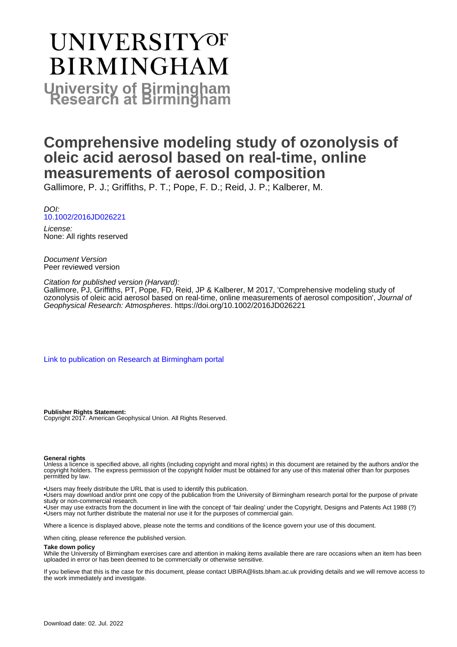# UNIVERSITYOF **BIRMINGHAM University of Birmingham**

## **Comprehensive modeling study of ozonolysis of oleic acid aerosol based on real-time, online measurements of aerosol composition**

Gallimore, P. J.; Griffiths, P. T.; Pope, F. D.; Reid, J. P.; Kalberer, M.

DOI: [10.1002/2016JD026221](https://doi.org/10.1002/2016JD026221)

License: None: All rights reserved

Document Version Peer reviewed version

Citation for published version (Harvard):

Gallimore, PJ, Griffiths, PT, Pope, FD, Reid, JP & Kalberer, M 2017, 'Comprehensive modeling study of ozonolysis of oleic acid aerosol based on real-time, online measurements of aerosol composition', Journal of Geophysical Research: Atmospheres. <https://doi.org/10.1002/2016JD026221>

[Link to publication on Research at Birmingham portal](https://birmingham.elsevierpure.com/en/publications/a2633ec6-c946-4a49-b71b-788a5965b638)

**Publisher Rights Statement:** Copyright 2017. American Geophysical Union. All Rights Reserved.

#### **General rights**

Unless a licence is specified above, all rights (including copyright and moral rights) in this document are retained by the authors and/or the copyright holders. The express permission of the copyright holder must be obtained for any use of this material other than for purposes permitted by law.

• Users may freely distribute the URL that is used to identify this publication.

• Users may download and/or print one copy of the publication from the University of Birmingham research portal for the purpose of private study or non-commercial research.

• User may use extracts from the document in line with the concept of 'fair dealing' under the Copyright, Designs and Patents Act 1988 (?) • Users may not further distribute the material nor use it for the purposes of commercial gain.

Where a licence is displayed above, please note the terms and conditions of the licence govern your use of this document.

When citing, please reference the published version.

#### **Take down policy**

While the University of Birmingham exercises care and attention in making items available there are rare occasions when an item has been uploaded in error or has been deemed to be commercially or otherwise sensitive.

If you believe that this is the case for this document, please contact UBIRA@lists.bham.ac.uk providing details and we will remove access to the work immediately and investigate.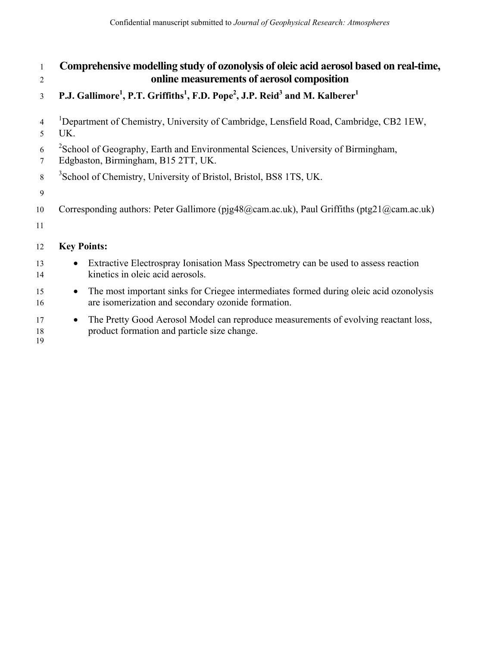| 1              | Comprehensive modelling study of ozonolysis of oleic acid aerosol based on real-time,                                                                     |  |  |  |  |  |
|----------------|-----------------------------------------------------------------------------------------------------------------------------------------------------------|--|--|--|--|--|
| $\overline{2}$ | online measurements of aerosol composition                                                                                                                |  |  |  |  |  |
| 3              | P.J. Gallimore <sup>1</sup> , P.T. Griffiths <sup>1</sup> , F.D. Pope <sup>2</sup> , J.P. Reid <sup>3</sup> and M. Kalberer <sup>1</sup>                  |  |  |  |  |  |
| 4<br>5         | <sup>1</sup> Department of Chemistry, University of Cambridge, Lensfield Road, Cambridge, CB2 1EW,<br>UK.                                                 |  |  |  |  |  |
| 6<br>7         | <sup>2</sup> School of Geography, Earth and Environmental Sciences, University of Birmingham,<br>Edgbaston, Birmingham, B15 2TT, UK.                      |  |  |  |  |  |
| 8              | <sup>3</sup> School of Chemistry, University of Bristol, Bristol, BS8 1TS, UK.                                                                            |  |  |  |  |  |
| 9              |                                                                                                                                                           |  |  |  |  |  |
| 10<br>11       | Corresponding authors: Peter Gallimore (pjg48@cam.ac.uk), Paul Griffiths (ptg21@cam.ac.uk)                                                                |  |  |  |  |  |
| 12             | <b>Key Points:</b>                                                                                                                                        |  |  |  |  |  |
| 13<br>14       | Extractive Electrospray Ionisation Mass Spectrometry can be used to assess reaction<br>$\bullet$<br>kinetics in oleic acid aerosols.                      |  |  |  |  |  |
| 15<br>16       | The most important sinks for Criegee intermediates formed during oleic acid ozonolysis<br>$\bullet$<br>are isomerization and secondary ozonide formation. |  |  |  |  |  |
| 17<br>18<br>19 | The Pretty Good Aerosol Model can reproduce measurements of evolving reactant loss,<br>$\bullet$<br>product formation and particle size change.           |  |  |  |  |  |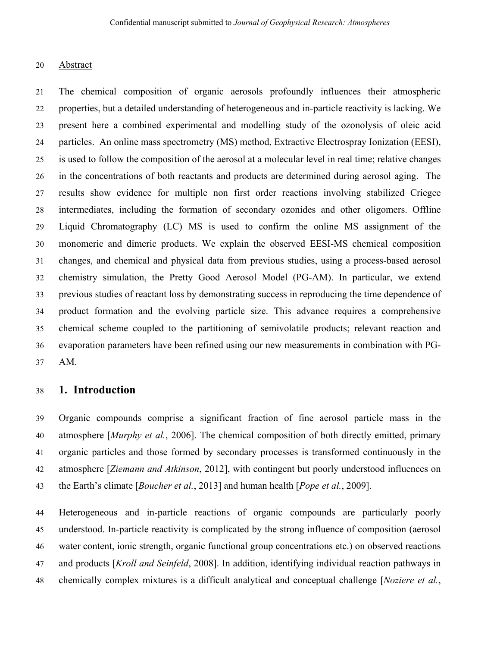#### 20 Abstract

21 The chemical composition of organic aerosols profoundly influences their atmospheric 22 properties, but a detailed understanding of heterogeneous and in-particle reactivity is lacking. We 23 present here a combined experimental and modelling study of the ozonolysis of oleic acid 24 particles. An online mass spectrometry (MS) method, Extractive Electrospray Ionization (EESI), 25 is used to follow the composition of the aerosol at a molecular level in real time; relative changes 26 in the concentrations of both reactants and products are determined during aerosol aging. The 27 results show evidence for multiple non first order reactions involving stabilized Criegee 28 intermediates, including the formation of secondary ozonides and other oligomers. Offline 29 Liquid Chromatography (LC) MS is used to confirm the online MS assignment of the 30 monomeric and dimeric products. We explain the observed EESI-MS chemical composition 31 changes, and chemical and physical data from previous studies, using a process-based aerosol 32 chemistry simulation, the Pretty Good Aerosol Model (PG-AM). In particular, we extend 33 previous studies of reactant loss by demonstrating success in reproducing the time dependence of 34 product formation and the evolving particle size. This advance requires a comprehensive 35 chemical scheme coupled to the partitioning of semivolatile products; relevant reaction and 36 evaporation parameters have been refined using our new measurements in combination with PG-37 AM.

#### 38 **1. Introduction**

39 Organic compounds comprise a significant fraction of fine aerosol particle mass in the 40 atmosphere [*Murphy et al.*, 2006]. The chemical composition of both directly emitted, primary 41 organic particles and those formed by secondary processes is transformed continuously in the 42 atmosphere [*Ziemann and Atkinson*, 2012], with contingent but poorly understood influences on 43 the Earth's climate [*Boucher et al.*, 2013] and human health [*Pope et al.*, 2009].

44 Heterogeneous and in-particle reactions of organic compounds are particularly poorly 45 understood. In-particle reactivity is complicated by the strong influence of composition (aerosol 46 water content, ionic strength, organic functional group concentrations etc.) on observed reactions 47 and products [*Kroll and Seinfeld*, 2008]. In addition, identifying individual reaction pathways in 48 chemically complex mixtures is a difficult analytical and conceptual challenge [*Noziere et al.*,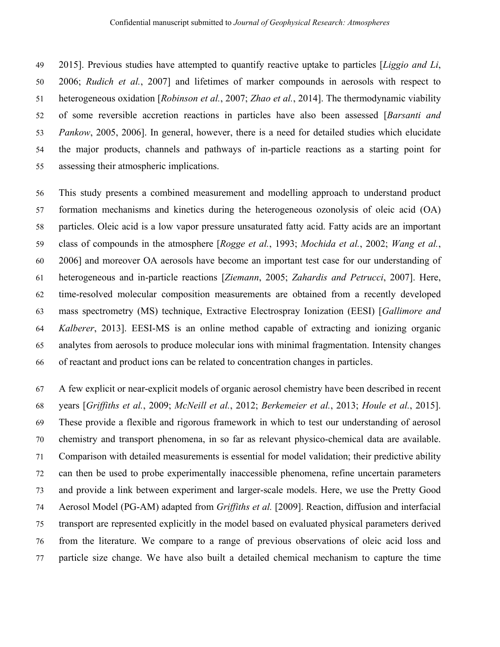49 2015]. Previous studies have attempted to quantify reactive uptake to particles [*Liggio and Li*, 50 2006; *Rudich et al.*, 2007] and lifetimes of marker compounds in aerosols with respect to 51 heterogeneous oxidation [*Robinson et al.*, 2007; *Zhao et al.*, 2014]. The thermodynamic viability 52 of some reversible accretion reactions in particles have also been assessed [*Barsanti and*  53 *Pankow*, 2005, 2006]. In general, however, there is a need for detailed studies which elucidate 54 the major products, channels and pathways of in-particle reactions as a starting point for 55 assessing their atmospheric implications.

56 This study presents a combined measurement and modelling approach to understand product 57 formation mechanisms and kinetics during the heterogeneous ozonolysis of oleic acid (OA) 58 particles. Oleic acid is a low vapor pressure unsaturated fatty acid. Fatty acids are an important 59 class of compounds in the atmosphere [*Rogge et al.*, 1993; *Mochida et al.*, 2002; *Wang et al.*, 60 2006] and moreover OA aerosols have become an important test case for our understanding of 61 heterogeneous and in-particle reactions [*Ziemann*, 2005; *Zahardis and Petrucci*, 2007]. Here, 62 time-resolved molecular composition measurements are obtained from a recently developed 63 mass spectrometry (MS) technique, Extractive Electrospray Ionization (EESI) [*Gallimore and*  64 *Kalberer*, 2013]. EESI-MS is an online method capable of extracting and ionizing organic 65 analytes from aerosols to produce molecular ions with minimal fragmentation. Intensity changes 66 of reactant and product ions can be related to concentration changes in particles.

67 A few explicit or near-explicit models of organic aerosol chemistry have been described in recent 68 years [*Griffiths et al.*, 2009; *McNeill et al.*, 2012; *Berkemeier et al.*, 2013; *Houle et al.*, 2015]. 69 These provide a flexible and rigorous framework in which to test our understanding of aerosol 70 chemistry and transport phenomena, in so far as relevant physico-chemical data are available. 71 Comparison with detailed measurements is essential for model validation; their predictive ability 72 can then be used to probe experimentally inaccessible phenomena, refine uncertain parameters 73 and provide a link between experiment and larger-scale models. Here, we use the Pretty Good 74 Aerosol Model (PG-AM) adapted from *Griffiths et al.* [2009]. Reaction, diffusion and interfacial 75 transport are represented explicitly in the model based on evaluated physical parameters derived 76 from the literature. We compare to a range of previous observations of oleic acid loss and 77 particle size change. We have also built a detailed chemical mechanism to capture the time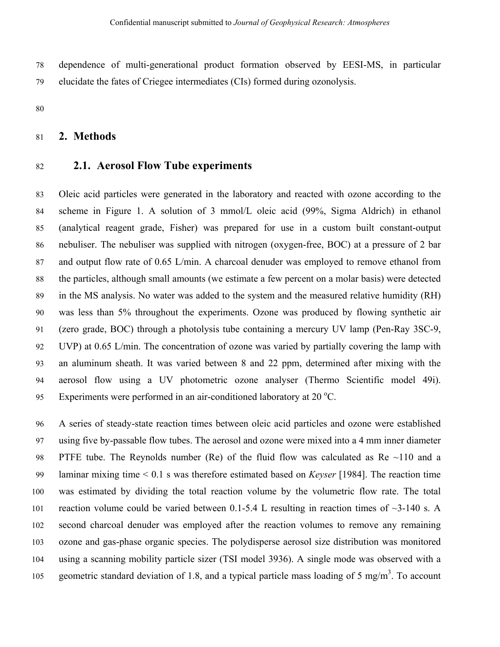78 dependence of multi-generational product formation observed by EESI-MS, in particular 79 elucidate the fates of Criegee intermediates (CIs) formed during ozonolysis.

80

#### 81 **2. Methods**

## 82 **2.1. Aerosol Flow Tube experiments**

83 Oleic acid particles were generated in the laboratory and reacted with ozone according to the 84 scheme in Figure 1. A solution of 3 mmol/L oleic acid (99%, Sigma Aldrich) in ethanol 85 (analytical reagent grade, Fisher) was prepared for use in a custom built constant-output 86 nebuliser. The nebuliser was supplied with nitrogen (oxygen-free, BOC) at a pressure of 2 bar 87 and output flow rate of 0.65 L/min. A charcoal denuder was employed to remove ethanol from 88 the particles, although small amounts (we estimate a few percent on a molar basis) were detected 89 in the MS analysis. No water was added to the system and the measured relative humidity (RH) 90 was less than 5% throughout the experiments. Ozone was produced by flowing synthetic air 91 (zero grade, BOC) through a photolysis tube containing a mercury UV lamp (Pen-Ray 3SC-9, 92 UVP) at 0.65 L/min. The concentration of ozone was varied by partially covering the lamp with 93 an aluminum sheath. It was varied between 8 and 22 ppm, determined after mixing with the 94 aerosol flow using a UV photometric ozone analyser (Thermo Scientific model 49i). 95 Experiments were performed in an air-conditioned laboratory at  $20^{\circ}$ C.

96 A series of steady-state reaction times between oleic acid particles and ozone were established 97 using five by-passable flow tubes. The aerosol and ozone were mixed into a 4 mm inner diameter 98 PTFE tube. The Reynolds number (Re) of the fluid flow was calculated as Re ~110 and a 99 laminar mixing time < 0.1 s was therefore estimated based on *Keyser* [1984]. The reaction time 100 was estimated by dividing the total reaction volume by the volumetric flow rate. The total 101 reaction volume could be varied between 0.1-5.4 L resulting in reaction times of  $\sim$ 3-140 s. A 102 second charcoal denuder was employed after the reaction volumes to remove any remaining 103 ozone and gas-phase organic species. The polydisperse aerosol size distribution was monitored 104 using a scanning mobility particle sizer (TSI model 3936). A single mode was observed with a 105 geometric standard deviation of 1.8, and a typical particle mass loading of 5 mg/m<sup>3</sup>. To account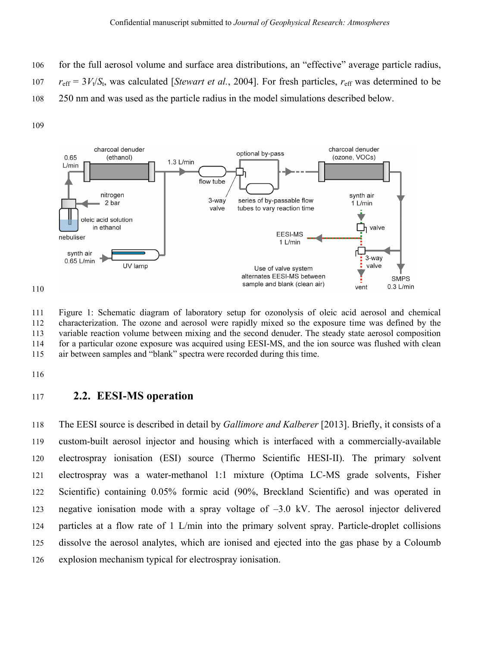- 106 for the full aerosol volume and surface area distributions, an "effective" average particle radius,
- 107  $r_{\text{eff}} = 3V_t/S_t$ , was calculated [*Stewart et al.*, 2004]. For fresh particles,  $r_{\text{eff}}$  was determined to be
- 108 250 nm and was used as the particle radius in the model simulations described below.

109



111 Figure 1: Schematic diagram of laboratory setup for ozonolysis of oleic acid aerosol and chemical 112 characterization. The ozone and aerosol were rapidly mixed so the exposure time was defined by the 113 variable reaction volume between mixing and the second denuder. The steady state aerosol composition 114 for a particular ozone exposure was acquired using EESI-MS, and the ion source was flushed with clean 115 air between samples and "blank" spectra were recorded during this time.

116

#### 117 **2.2. EESI-MS operation**

118 The EESI source is described in detail by *Gallimore and Kalberer* [2013]. Briefly, it consists of a 119 custom-built aerosol injector and housing which is interfaced with a commercially-available 120 electrospray ionisation (ESI) source (Thermo Scientific HESI-II). The primary solvent 121 electrospray was a water-methanol 1:1 mixture (Optima LC-MS grade solvents, Fisher 122 Scientific) containing 0.05% formic acid (90%, Breckland Scientific) and was operated in 123 negative ionisation mode with a spray voltage of –3.0 kV. The aerosol injector delivered 124 particles at a flow rate of 1 L/min into the primary solvent spray. Particle-droplet collisions 125 dissolve the aerosol analytes, which are ionised and ejected into the gas phase by a Coloumb 126 explosion mechanism typical for electrospray ionisation.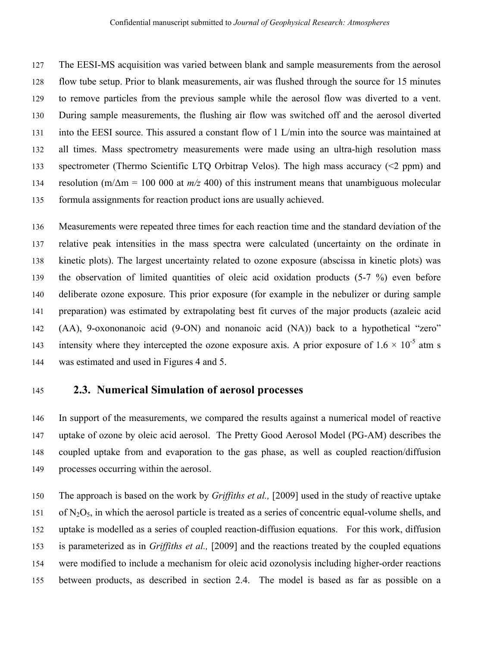127 The EESI-MS acquisition was varied between blank and sample measurements from the aerosol 128 flow tube setup. Prior to blank measurements, air was flushed through the source for 15 minutes 129 to remove particles from the previous sample while the aerosol flow was diverted to a vent. 130 During sample measurements, the flushing air flow was switched off and the aerosol diverted 131 into the EESI source. This assured a constant flow of 1 L/min into the source was maintained at 132 all times. Mass spectrometry measurements were made using an ultra-high resolution mass 133 spectrometer (Thermo Scientific LTQ Orbitrap Velos). The high mass accuracy (<2 ppm) and 134 resolution (m/Δm = 100 000 at *m/z* 400) of this instrument means that unambiguous molecular 135 formula assignments for reaction product ions are usually achieved.

136 Measurements were repeated three times for each reaction time and the standard deviation of the 137 relative peak intensities in the mass spectra were calculated (uncertainty on the ordinate in 138 kinetic plots). The largest uncertainty related to ozone exposure (abscissa in kinetic plots) was 139 the observation of limited quantities of oleic acid oxidation products (5-7 %) even before 140 deliberate ozone exposure. This prior exposure (for example in the nebulizer or during sample 141 preparation) was estimated by extrapolating best fit curves of the major products (azaleic acid 142 (AA), 9-oxononanoic acid (9-ON) and nonanoic acid (NA)) back to a hypothetical "zero" intensity where they intercepted the ozone exposure axis. A prior exposure of  $1.6 \times 10^{-5}$  atm s 144 was estimated and used in Figures 4 and 5.

#### 145 **2.3. Numerical Simulation of aerosol processes**

146 In support of the measurements, we compared the results against a numerical model of reactive 147 uptake of ozone by oleic acid aerosol. The Pretty Good Aerosol Model (PG-AM) describes the 148 coupled uptake from and evaporation to the gas phase, as well as coupled reaction/diffusion 149 processes occurring within the aerosol.

150 The approach is based on the work by *Griffiths et al.,* [2009] used in the study of reactive uptake 151 of  $N_2O_5$ , in which the aerosol particle is treated as a series of concentric equal-volume shells, and 152 uptake is modelled as a series of coupled reaction-diffusion equations. For this work, diffusion 153 is parameterized as in *Griffiths et al.,* [2009] and the reactions treated by the coupled equations 154 were modified to include a mechanism for oleic acid ozonolysis including higher-order reactions 155 between products, as described in section 2.4. The model is based as far as possible on a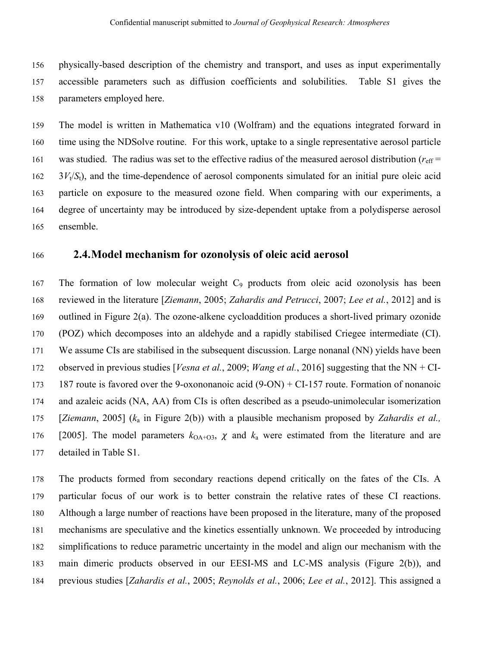156 physically-based description of the chemistry and transport, and uses as input experimentally 157 accessible parameters such as diffusion coefficients and solubilities. Table S1 gives the 158 parameters employed here.

159 The model is written in Mathematica v10 (Wolfram) and the equations integrated forward in 160 time using the NDSolve routine. For this work, uptake to a single representative aerosol particle 161 was studied. The radius was set to the effective radius of the measured aerosol distribution ( $r_{\text{eff}}$  =  $162 \frac{3V_t}{S_t}$ , and the time-dependence of aerosol components simulated for an initial pure oleic acid 163 particle on exposure to the measured ozone field. When comparing with our experiments, a 164 degree of uncertainty may be introduced by size-dependent uptake from a polydisperse aerosol 165 ensemble.

### 166 **2.4.Model mechanism for ozonolysis of oleic acid aerosol**

167 The formation of low molecular weight  $C_9$  products from oleic acid ozonolysis has been 168 reviewed in the literature [*Ziemann*, 2005; *Zahardis and Petrucci*, 2007; *Lee et al.*, 2012] and is 169 outlined in Figure 2(a). The ozone-alkene cycloaddition produces a short-lived primary ozonide 170 (POZ) which decomposes into an aldehyde and a rapidly stabilised Criegee intermediate (CI). 171 We assume CIs are stabilised in the subsequent discussion. Large nonanal (NN) yields have been 172 observed in previous studies [*Vesna et al.*, 2009; *Wang et al.*, 2016] suggesting that the NN + CI-173 187 route is favored over the 9-oxononanoic acid (9-ON) + CI-157 route. Formation of nonanoic 174 and azaleic acids (NA, AA) from CIs is often described as a pseudo-unimolecular isomerization 175 [*Ziemann*, 2005] (*k*a in Figure 2(b)) with a plausible mechanism proposed by *Zahardis et al.,* 176 [2005]. The model parameters  $k_{OA+O3}$ ,  $\chi$  and  $k_a$  were estimated from the literature and are 177 detailed in Table S1.

178 The products formed from secondary reactions depend critically on the fates of the CIs. A 179 particular focus of our work is to better constrain the relative rates of these CI reactions. 180 Although a large number of reactions have been proposed in the literature, many of the proposed 181 mechanisms are speculative and the kinetics essentially unknown. We proceeded by introducing 182 simplifications to reduce parametric uncertainty in the model and align our mechanism with the 183 main dimeric products observed in our EESI-MS and LC-MS analysis (Figure 2(b)), and 184 previous studies [*Zahardis et al.*, 2005; *Reynolds et al.*, 2006; *Lee et al.*, 2012]. This assigned a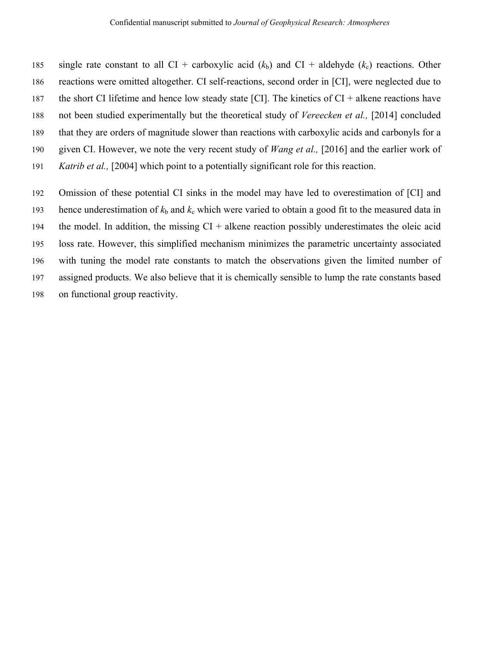185 single rate constant to all CI + carboxylic acid  $(k_b)$  and CI + aldehyde  $(k_c)$  reactions. Other 186 reactions were omitted altogether. CI self-reactions, second order in [CI], were neglected due to 187 the short CI lifetime and hence low steady state [CI]. The kinetics of  $CI +$  alkene reactions have 188 not been studied experimentally but the theoretical study of *Vereecken et al.,* [2014] concluded 189 that they are orders of magnitude slower than reactions with carboxylic acids and carbonyls for a 190 given CI. However, we note the very recent study of *Wang et al.,* [2016] and the earlier work of 191 *Katrib et al.,* [2004] which point to a potentially significant role for this reaction.

192 Omission of these potential CI sinks in the model may have led to overestimation of [CI] and 193 hence underestimation of  $k<sub>b</sub>$  and  $k<sub>c</sub>$  which were varied to obtain a good fit to the measured data in 194 the model. In addition, the missing  $CI +$  alkene reaction possibly underestimates the oleic acid 195 loss rate. However, this simplified mechanism minimizes the parametric uncertainty associated 196 with tuning the model rate constants to match the observations given the limited number of 197 assigned products. We also believe that it is chemically sensible to lump the rate constants based 198 on functional group reactivity.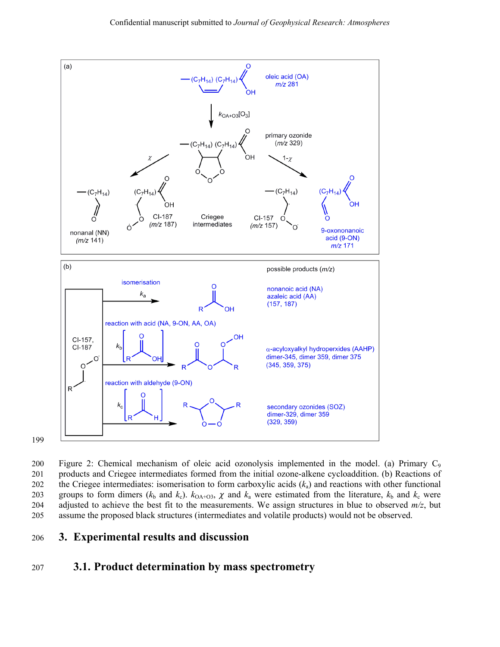

200 Figure 2: Chemical mechanism of oleic acid ozonolysis implemented in the model. (a) Primary  $C_9$ 201 products and Criegee intermediates formed from the initial ozone-alkene cycloaddition. (b) Reactions of 202 the Criegee intermediates: isomerisation to form carboxylic acids (*k*a) and reactions with other functional 203 groups to form dimers ( $k_b$  and  $k_c$ ).  $k_{OA+O3}$ ,  $\chi$  and  $k_a$  were estimated from the literature,  $k_b$  and  $k_c$  were 204 adjusted to achieve the best fit to the measurements. We assign structures in blue to observed *m/z*, but 205 assume the proposed black structures (intermediates and volatile products) would not be observed.

#### 206 **3. Experimental results and discussion**

## 207 **3.1. Product determination by mass spectrometry**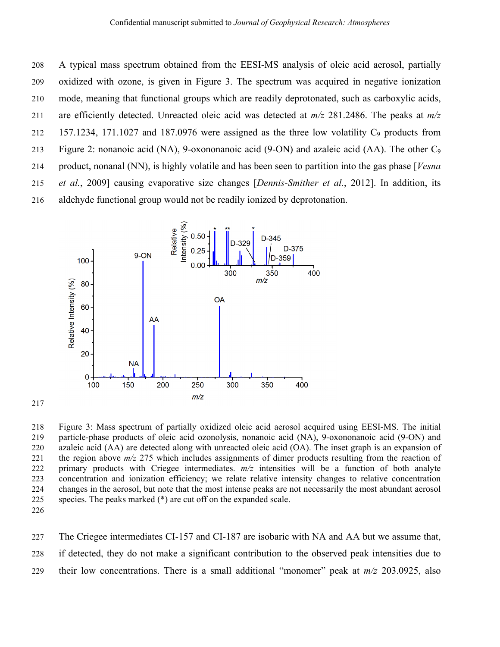208 A typical mass spectrum obtained from the EESI-MS analysis of oleic acid aerosol, partially 209 oxidized with ozone, is given in Figure 3. The spectrum was acquired in negative ionization 210 mode, meaning that functional groups which are readily deprotonated, such as carboxylic acids, 211 are efficiently detected. Unreacted oleic acid was detected at *m/z* 281.2486. The peaks at *m/z* 212 157.1234, 171.1027 and 187.0976 were assigned as the three low volatility  $C_9$  products from 213 Figure 2: nonanoic acid (NA), 9-oxononanoic acid (9-ON) and azaleic acid (AA). The other C9 214 product, nonanal (NN), is highly volatile and has been seen to partition into the gas phase [*Vesna*  215 *et al.*, 2009] causing evaporative size changes [*Dennis-Smither et al.*, 2012]. In addition, its 216 aldehyde functional group would not be readily ionized by deprotonation.



218 Figure 3: Mass spectrum of partially oxidized oleic acid aerosol acquired using EESI-MS. The initial 219 particle-phase products of oleic acid ozonolysis, nonanoic acid (NA), 9-oxononanoic acid (9-ON) and 220 azaleic acid (AA) are detected along with unreacted oleic acid (OA). The inset graph is an expansion of 221 the region above *m/z* 275 which includes assignments of dimer products resulting from the reaction of 222 primary products with Criegee intermediates. *m/z* intensities will be a function of both analyte 223 concentration and ionization efficiency; we relate relative intensity changes to relative concentration 224 changes in the aerosol, but note that the most intense peaks are not necessarily the most abundant aerosol 225 species. The peaks marked (\*) are cut off on the expanded scale.

226

217

227 The Criegee intermediates CI-157 and CI-187 are isobaric with NA and AA but we assume that, 228 if detected, they do not make a significant contribution to the observed peak intensities due to 229 their low concentrations. There is a small additional "monomer" peak at *m/z* 203.0925, also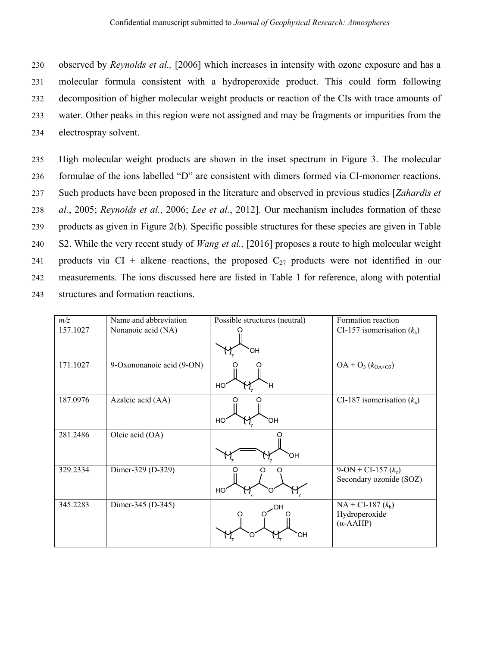230 observed by *Reynolds et al.,* [2006] which increases in intensity with ozone exposure and has a 231 molecular formula consistent with a hydroperoxide product. This could form following 232 decomposition of higher molecular weight products or reaction of the CIs with trace amounts of 233 water. Other peaks in this region were not assigned and may be fragments or impurities from the 234 electrospray solvent.

235 High molecular weight products are shown in the inset spectrum in Figure 3. The molecular 236 formulae of the ions labelled "D" are consistent with dimers formed via CI-monomer reactions. 237 Such products have been proposed in the literature and observed in previous studies [*Zahardis et*  238 *al.*, 2005; *Reynolds et al.*, 2006; *Lee et al.*, 2012]. Our mechanism includes formation of these 239 products as given in Figure 2(b). Specific possible structures for these species are given in Table 240 S2. While the very recent study of *Wang et al.,* [2016] proposes a route to high molecular weight 241 products via CI + alkene reactions, the proposed  $C_{27}$  products were not identified in our 242 measurements. The ions discussed here are listed in Table 1 for reference, along with potential 243 structures and formation reactions.

| m/z      | Name and abbreviation     | Possible structures (neutral) | Formation reaction                                       |
|----------|---------------------------|-------------------------------|----------------------------------------------------------|
| 157.1027 | Nonanoic acid (NA)        | ЮH                            | CI-157 isomerisation $(k_a)$                             |
| 171.1027 | 9-Oxononanoic acid (9-ON) | HO<br>н                       | $OA + O_3 (k_{OA+O3})$                                   |
| 187.0976 | Azaleic acid (AA)         | HO<br>ЮH                      | CI-187 isomerisation $(k_a)$                             |
| 281.2486 | Oleic acid (OA)           | ЮH                            |                                                          |
| 329.2334 | Dimer-329 (D-329)         | HO                            | $9$ -ON + CI-157 $(k_c)$<br>Secondary ozonide (SOZ)      |
| 345.2283 | Dimer-345 (D-345)         | ΟH<br>ЮH                      | $NA + CI-187 (k_b)$<br>Hydroperoxide<br>$(\alpha$ -AAHP) |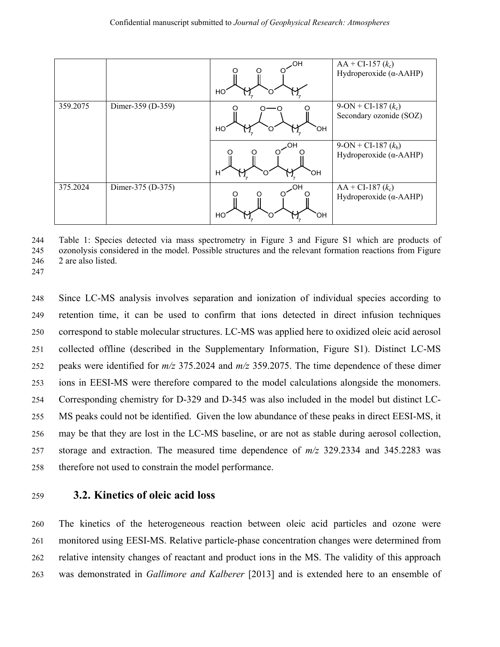|          |                   | OН<br>HO       | $AA + CI-157 (k_c)$<br>Hydroperoxide $(\alpha$ -AAHP)   |
|----------|-------------------|----------------|---------------------------------------------------------|
| 359.2075 | Dimer-359 (D-359) | HO<br>ЮH       | $9-ON + CI-187 (k_c)$<br>Secondary ozonide (SOZ)        |
|          |                   | .OF<br>н<br>ЮH | $9-ON + CI-187 (k_b)$<br>Hydroperoxide $(\alpha$ -AAHP) |
| 375.2024 | Dimer-375 (D-375) | HO<br>.OН      | $AA + CI-187 (k_c)$<br>Hydroperoxide $(\alpha$ -AAHP)   |

244 Table 1: Species detected via mass spectrometry in Figure 3 and Figure S1 which are products of 245 ozonolysis considered in the model. Possible structures and the relevant formation reactions from Figure 246 2 are also listed.

247

248 Since LC-MS analysis involves separation and ionization of individual species according to 249 retention time, it can be used to confirm that ions detected in direct infusion techniques 250 correspond to stable molecular structures. LC-MS was applied here to oxidized oleic acid aerosol 251 collected offline (described in the Supplementary Information, Figure S1). Distinct LC-MS 252 peaks were identified for *m/z* 375.2024 and *m/z* 359.2075. The time dependence of these dimer 253 ions in EESI-MS were therefore compared to the model calculations alongside the monomers. 254 Corresponding chemistry for D-329 and D-345 was also included in the model but distinct LC-255 MS peaks could not be identified. Given the low abundance of these peaks in direct EESI-MS, it 256 may be that they are lost in the LC-MS baseline, or are not as stable during aerosol collection, 257 storage and extraction. The measured time dependence of *m/z* 329.2334 and 345.2283 was 258 therefore not used to constrain the model performance.

#### 259 **3.2. Kinetics of oleic acid loss**

260 The kinetics of the heterogeneous reaction between oleic acid particles and ozone were 261 monitored using EESI-MS. Relative particle-phase concentration changes were determined from 262 relative intensity changes of reactant and product ions in the MS. The validity of this approach 263 was demonstrated in *Gallimore and Kalberer* [2013] and is extended here to an ensemble of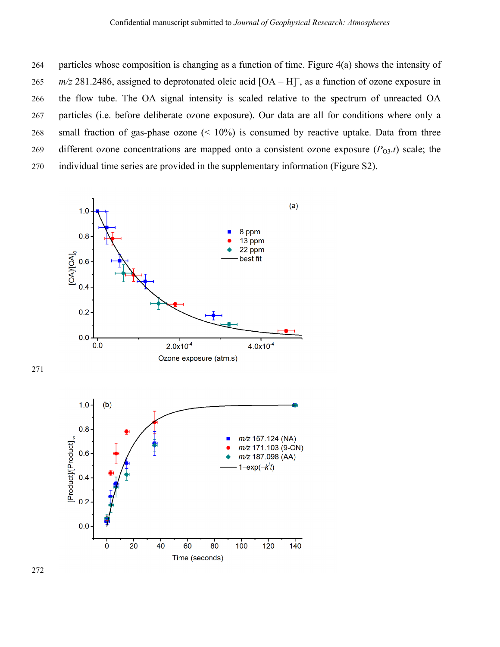264 particles whose composition is changing as a function of time. Figure 4(a) shows the intensity of 265  $m/z$  281.2486, assigned to deprotonated oleic acid  $[OA - H]$ , as a function of ozone exposure in 266 the flow tube. The OA signal intensity is scaled relative to the spectrum of unreacted OA 267 particles (i.e. before deliberate ozone exposure). Our data are all for conditions where only a 268 small fraction of gas-phase ozone (< 10%) is consumed by reactive uptake. Data from three 269 different ozone concentrations are mapped onto a consistent ozone exposure  $(P_{O3}.t)$  scale; the 270 individual time series are provided in the supplementary information (Figure S2).



271

272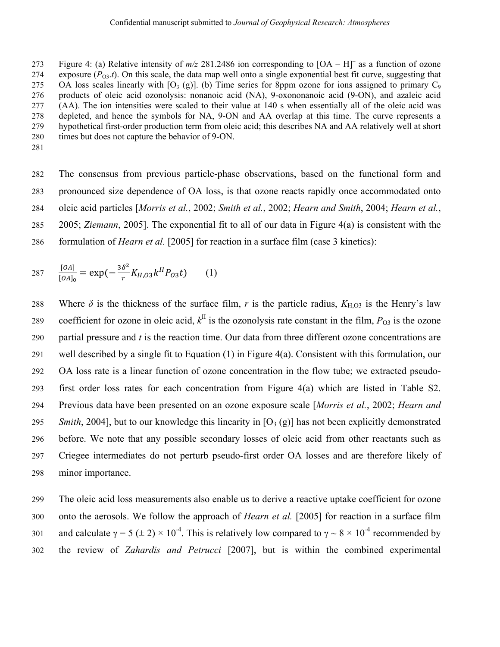Figure 4: (a) Relative intensity of  $m/z$  281.2486 ion corresponding to  $[OA - H]$ <sup>–</sup> as a function of ozone 274 exposure  $(P_{03}.t)$ . On this scale, the data map well onto a single exponential best fit curve, suggesting that 275 OA loss scales linearly with  $[O_3(g)]$ . (b) Time series for 8ppm ozone for ions assigned to primary  $C_9$ 276 products of oleic acid ozonolysis: nonanoic acid (NA), 9-oxononanoic acid (9-ON), and azaleic acid 277 (AA). The ion intensities were scaled to their value at 140 s when essentially all of the oleic acid was 278 depleted, and hence the symbols for NA, 9-ON and AA overlap at this time. The curve represents a 279 hypothetical first-order production term from oleic acid; this describes NA and AA relatively well at short 280 times but does not capture the behavior of 9-ON.

281

282 The consensus from previous particle-phase observations, based on the functional form and 283 pronounced size dependence of OA loss, is that ozone reacts rapidly once accommodated onto 284 oleic acid particles [*Morris et al.*, 2002; *Smith et al.*, 2002; *Hearn and Smith*, 2004; *Hearn et al.*, 285 2005; *Ziemann*, 2005]. The exponential fit to all of our data in Figure 4(a) is consistent with the 286 formulation of *Hearn et al.* [2005] for reaction in a surface film (case 3 kinetics):

$$
287 \quad \frac{[OA]}{[OA]_0} = \exp(-\frac{3\delta^2}{r}K_{H,03}k^{II}P_{03}t) \quad (1)
$$

288 Where  $\delta$  is the thickness of the surface film, *r* is the particle radius,  $K_{\text{H,O3}}$  is the Henry's law coefficient for ozone in oleic acid,  $k^{\text{II}}$  is the ozonolysis rate constant in the film,  $P_{\text{O3}}$  is the ozone 290 partial pressure and *t* is the reaction time. Our data from three different ozone concentrations are 291 well described by a single fit to Equation (1) in Figure 4(a). Consistent with this formulation, our 292 OA loss rate is a linear function of ozone concentration in the flow tube; we extracted pseudo-293 first order loss rates for each concentration from Figure 4(a) which are listed in Table S2. 294 Previous data have been presented on an ozone exposure scale [*Morris et al.*, 2002; *Hearn and*  295 *Smith*, 2004], but to our knowledge this linearity in  $[O_3(g)]$  has not been explicitly demonstrated 296 before. We note that any possible secondary losses of oleic acid from other reactants such as 297 Criegee intermediates do not perturb pseudo-first order OA losses and are therefore likely of 298 minor importance.

299 The oleic acid loss measurements also enable us to derive a reactive uptake coefficient for ozone 300 onto the aerosols. We follow the approach of *Hearn et al.* [2005] for reaction in a surface film 301 and calculate  $\gamma = 5 \ (\pm 2) \times 10^{-4}$ . This is relatively low compared to  $\gamma \sim 8 \times 10^{-4}$  recommended by 302 the review of *Zahardis and Petrucci* [2007], but is within the combined experimental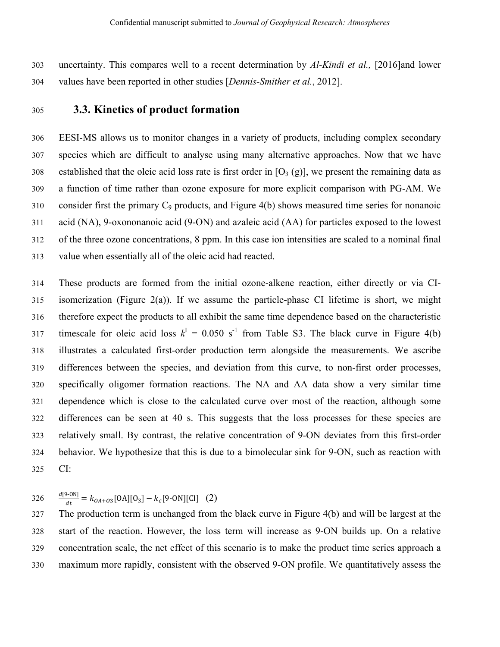303 uncertainty. This compares well to a recent determination by *Al-Kindi et al.,* [2016]and lower 304 values have been reported in other studies [*Dennis-Smither et al.*, 2012].

## 305 **3.3. Kinetics of product formation**

306 EESI-MS allows us to monitor changes in a variety of products, including complex secondary 307 species which are difficult to analyse using many alternative approaches. Now that we have 308 established that the oleic acid loss rate is first order in  $[O_3(g)]$ , we present the remaining data as 309 a function of time rather than ozone exposure for more explicit comparison with PG-AM. We 310 consider first the primary  $C_9$  products, and Figure 4(b) shows measured time series for nonanoic 311 acid (NA), 9-oxononanoic acid (9-ON) and azaleic acid (AA) for particles exposed to the lowest 312 of the three ozone concentrations, 8 ppm. In this case ion intensities are scaled to a nominal final 313 value when essentially all of the oleic acid had reacted.

314 These products are formed from the initial ozone-alkene reaction, either directly or via CI-315 isomerization (Figure 2(a)). If we assume the particle-phase CI lifetime is short, we might 316 therefore expect the products to all exhibit the same time dependence based on the characteristic 317 timescale for oleic acid loss  $k^I = 0.050$  s<sup>-1</sup> from Table S3. The black curve in Figure 4(b) 318 illustrates a calculated first-order production term alongside the measurements. We ascribe 319 differences between the species, and deviation from this curve, to non-first order processes, 320 specifically oligomer formation reactions. The NA and AA data show a very similar time 321 dependence which is close to the calculated curve over most of the reaction, although some 322 differences can be seen at 40 s. This suggests that the loss processes for these species are 323 relatively small. By contrast, the relative concentration of 9-ON deviates from this first-order 324 behavior. We hypothesize that this is due to a bimolecular sink for 9-ON, such as reaction with 325 CI:

 $d[9-ON]$ 326  $\frac{a_19-0\text{N}}{dt} = k_{OA+O3}[\text{OA}][\text{O}_3] - k_c[\text{9-ON}][\text{CI}]$  (2)

327 The production term is unchanged from the black curve in Figure 4(b) and will be largest at the 328 start of the reaction. However, the loss term will increase as 9-ON builds up. On a relative 329 concentration scale, the net effect of this scenario is to make the product time series approach a 330 maximum more rapidly, consistent with the observed 9-ON profile. We quantitatively assess the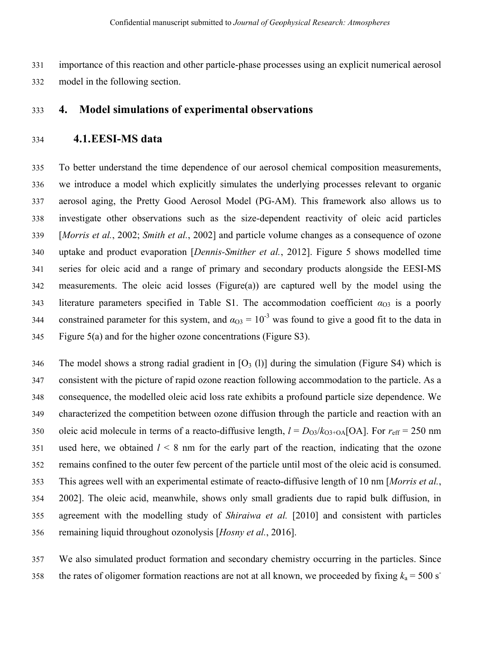331 332 importance of this reaction and other particle-phase processes using an explicit numerical aerosol model in the following section.

#### 333 **4.** Model simulations of experimental observations

#### 334 **4.1.E EESI-MS data**

335 336 337 338 339 340 341 342 343 344 345 To better understand the time dependence of our aerosol chemical composition measurements, we introduce a model which explicitly simulates the underlying processes relevant to organic aerosol aging, the Pretty Good Aerosol Model (PG-AM). This framework also allows us to investigate other observations such as the size-dependent reactivity of oleic acid particles [Morris et al., 2002; Smith et al., 2002] and particle volume changes as a consequence of ozone uptake and product evaporation [*Dennis-Smither et al.*, 2012]. Figure 5 shows modelled time series for oleic acid and a range of primary and secondary products alongside the EESI-MS measurements. The oleic acid losses (Figure(a)) are captured well by the model using the literature parameters specified in Table S1. The accommodation coefficient  $\alpha_{03}$  is a poorly constrained parameter for this system, and  $\alpha_{\text{O3}} = 10^{-3}$  was found to give a good fit to the data in Figure 5(a) and for the higher ozone concentrations (Figure S3).

346 347 348 349 350 351 352 353 354 355 356 The model shows a strong radial gradient in  $[O_3 (l)]$  during the simulation (Figure S4) which is consistent with the picture of rapid ozone reaction following accommodation to the particle. As a consequence, the modelled oleic acid loss rate exhibits a profound particle size dependence. We characterized the competition between ozone diffusion through the particle and reaction with an oleic acid molecule in terms of a reacto-diffusive length,  $l = D_{O3}/k_{O3+O\text{A}}[\text{OA}]$ . For  $r_{\text{eff}} = 250 \text{ nm}$ used here, we obtained  $l \leq 8$  nm for the early part of the reaction, indicating that the ozone remains confined to the outer few percent of the particle until most of the oleic acid is consumed. This agrees well with an experimental estimate of reacto-diffusive length of 10 nm [Morris et al., 2002]. The oleic acid, meanwhile, shows only small gradients due to rapid bulk diffusion, in agreement with the modelling study of *Shiraiwa et al.* [2010] and consistent with particles remaining liquid throughout ozonolysis [*Hosny et al.*, 2016].

357 358 We also simulated product formation and secondary chemistry occurring in the particles. Since the rates of oligomer formation reactions are not at all known, we proceeded by fixing  $k_a = 500$  s<sup>-</sup>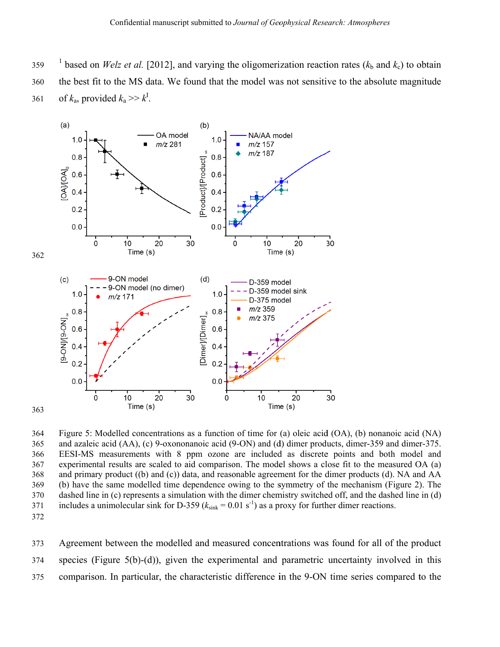359 <sup>1</sup> based on *Welz et al.* [2012], and varying the oligomerization reaction rates ( $k<sub>b</sub>$  and  $k<sub>c</sub>$ ) to obtain

360 the best fit to the MS data. We found that the model was not sensitive to the absolute magnitude

361 of  $k_a$ , provided  $k_a \gg k^{\text{I}}$ .



364 365 366 367 368 369 370 371 Figure 5: Modelled concentrations as a function of time for (a) oleic acid (OA), (b) nonanoic acid (NA) and azaleic acid (AA), (c) 9-oxononanoic acid (9-ON) and (d) dimer products, dimer-359 and dimer-375. EESI-MS measurements with 8 ppm ozone are included as discrete points and both model and experimental results are scaled to aid comparison. The model shows a close fit to the measured OA (a) and primary product ((b) and (c)) data, and reasonable agreement for the dimer products (d). NA and AA (b) have the same modelled time dependence owing to the symmetry of the mechanism (Figure 2). The dashed line in (c) represents a simulation with the dimer chemistry switched off, and the dashed line in (d) includes a unimolecular sink for D-359 ( $k_{\text{sink}} = 0.01 \text{ s}^{-1}$ ) as a proxy for further dimer reactions.

372

373 374 375 Agreement between the modelled and measured concentrations was found for all of the product species (Figure 5(b)-(d)), given the experimental and parametric uncertainty involved in this comparison. In particular, the characteristic difference in the 9-ON time series compared to the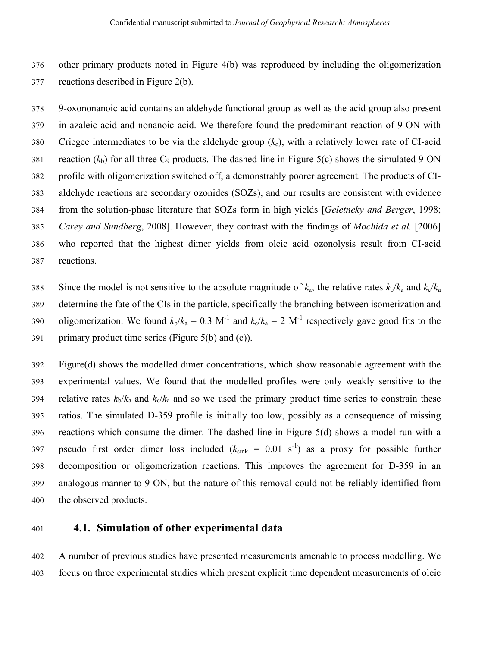376 other primary products noted in Figure 4(b) was reproduced by including the oligomerization 377 reactions described in Figure 2(b).

378 9-oxononanoic acid contains an aldehyde functional group as well as the acid group also present 379 in azaleic acid and nonanoic acid. We therefore found the predominant reaction of 9-ON with 380 Criegee intermediates to be via the aldehyde group  $(k_c)$ , with a relatively lower rate of CI-acid 381 reaction  $(k_b)$  for all three  $C_9$  products. The dashed line in Figure 5(c) shows the simulated 9-ON 382 profile with oligomerization switched off, a demonstrably poorer agreement. The products of CI-383 aldehyde reactions are secondary ozonides (SOZs), and our results are consistent with evidence 384 from the solution-phase literature that SOZs form in high yields [*Geletneky and Berger*, 1998; 385 *Carey and Sundberg*, 2008]. However, they contrast with the findings of *Mochida et al.* [2006] 386 who reported that the highest dimer yields from oleic acid ozonolysis result from CI-acid 387 reactions.

388 Since the model is not sensitive to the absolute magnitude of  $k_a$ , the relative rates  $k_b/k_a$  and  $k_c/k_a$ 389 determine the fate of the CIs in the particle, specifically the branching between isomerization and 390 oligomerization. We found  $k_b/k_a = 0.3 \text{ M}^{-1}$  and  $k_c/k_a = 2 \text{ M}^{-1}$  respectively gave good fits to the 391 primary product time series (Figure  $5(b)$  and (c)).

392 Figure(d) shows the modelled dimer concentrations, which show reasonable agreement with the 393 experimental values. We found that the modelled profiles were only weakly sensitive to the 394 relative rates  $k_b/k_a$  and  $k_c/k_a$  and so we used the primary product time series to constrain these 395 ratios. The simulated D-359 profile is initially too low, possibly as a consequence of missing 396 reactions which consume the dimer. The dashed line in Figure 5(d) shows a model run with a 397 pseudo first order dimer loss included  $(k_{sink} = 0.01 \text{ s}^{-1})$  as a proxy for possible further 398 decomposition or oligomerization reactions. This improves the agreement for D-359 in an 399 analogous manner to 9-ON, but the nature of this removal could not be reliably identified from 400 the observed products.

## 401 **4.1. Simulation of other experimental data**

402 A number of previous studies have presented measurements amenable to process modelling. We 403 focus on three experimental studies which present explicit time dependent measurements of oleic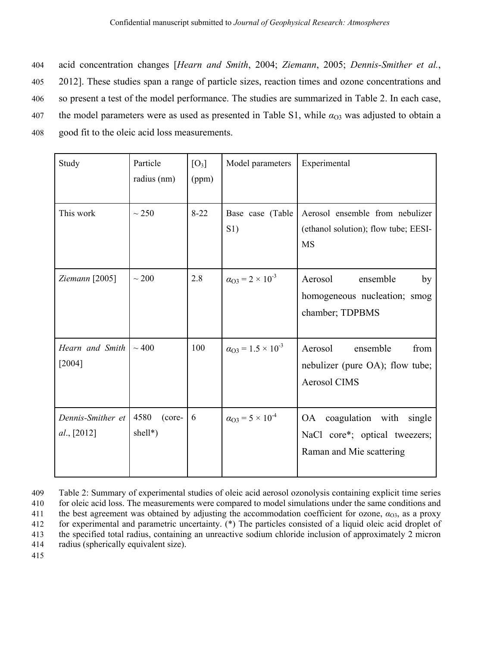404 acid concentration changes [*Hearn and Smith*, 2004; *Ziemann*, 2005; *Dennis-Smither et al.*, 405 2012]. These studies span a range of particle sizes, reaction times and ozone concentrations and 406 so present a test of the model performance. The studies are summarized in Table 2. In each case, 407 the model parameters were as used as presented in Table S1, while  $\alpha_{O3}$  was adjusted to obtain a 408 good fit to the oleic acid loss measurements.

| Study                            | Particle<br>radius (nm)      | $[O_3]$<br>(ppm) | Model parameters                       | Experimental                                                                                      |
|----------------------------------|------------------------------|------------------|----------------------------------------|---------------------------------------------------------------------------------------------------|
| This work                        | $\sim$ 250                   | $8 - 22$         | Base case (Table<br>S1)                | Aerosol ensemble from nebulizer<br>(ethanol solution); flow tube; EESI-<br><b>MS</b>              |
| Ziemann [2005]                   | $\sim 200$                   | 2.8              | $\alpha_{\rm O3} = 2 \times 10^{-3}$   | Aerosol<br>ensemble<br>by<br>homogeneous nucleation; smog<br>chamber; TDPBMS                      |
| Hearn and Smith<br>[2004]        | $\sim$ 400                   | 100              | $\alpha_{\rm O3} = 1.5 \times 10^{-3}$ | Aerosol<br>ensemble<br>from<br>nebulizer (pure OA); flow tube;<br><b>Aerosol CIMS</b>             |
| Dennis-Smither et<br>al., [2012] | 4580<br>(core-<br>$shell*$ ) | 6                | $\alpha_{\rm O3} = 5 \times 10^{-4}$   | coagulation with single<br><b>OA</b><br>NaCl core*; optical tweezers;<br>Raman and Mie scattering |

<sup>409</sup> Table 2: Summary of experimental studies of oleic acid aerosol ozonolysis containing explicit time series 410 for oleic acid loss. The measurements were compared to model simulations under the same conditions and 411 the best agreement was obtained by adjusting the accommodation coefficient for ozone,  $\alpha_{03}$ , as a proxy 412 for experimental and parametric uncertainty. (\*) The particles consisted of a liquid oleic acid droplet of 413 the specified total radius, containing an unreactive sodium chloride inclusion of approximately 2 micron

414 radius (spherically equivalent size).

415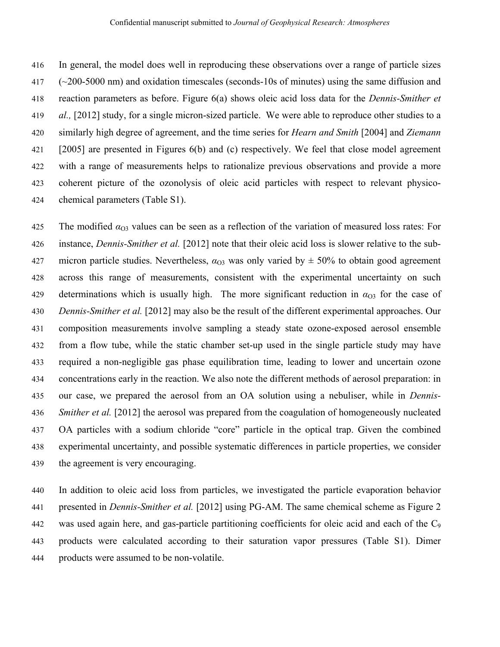416 In general, the model does well in reproducing these observations over a range of particle sizes 417 (~200-5000 nm) and oxidation timescales (seconds-10s of minutes) using the same diffusion and 418 reaction parameters as before. Figure 6(a) shows oleic acid loss data for the *Dennis-Smither et*  419 *al.,* [2012] study, for a single micron-sized particle. We were able to reproduce other studies to a 420 similarly high degree of agreement, and the time series for *Hearn and Smith* [2004] and *Ziemann* 421 [2005] are presented in Figures 6(b) and (c) respectively. We feel that close model agreement 422 with a range of measurements helps to rationalize previous observations and provide a more 423 coherent picture of the ozonolysis of oleic acid particles with respect to relevant physico-424 chemical parameters (Table S1).

425 The modified  $\alpha_{\text{O}3}$  values can be seen as a reflection of the variation of measured loss rates: For 426 instance, *Dennis-Smither et al.* [2012] note that their oleic acid loss is slower relative to the sub-427 micron particle studies. Nevertheless,  $\alpha_{03}$  was only varied by  $\pm$  50% to obtain good agreement 428 across this range of measurements, consistent with the experimental uncertainty on such 429 determinations which is usually high. The more significant reduction in  $\alpha_{O3}$  for the case of 430 *Dennis-Smither et al.* [2012] may also be the result of the different experimental approaches. Our 431 composition measurements involve sampling a steady state ozone-exposed aerosol ensemble 432 from a flow tube, while the static chamber set-up used in the single particle study may have 433 required a non-negligible gas phase equilibration time, leading to lower and uncertain ozone 434 concentrations early in the reaction. We also note the different methods of aerosol preparation: in 435 our case, we prepared the aerosol from an OA solution using a nebuliser, while in *Dennis-*436 *Smither et al.* [2012] the aerosol was prepared from the coagulation of homogeneously nucleated 437 OA particles with a sodium chloride "core" particle in the optical trap. Given the combined 438 experimental uncertainty, and possible systematic differences in particle properties, we consider 439 the agreement is very encouraging.

440 In addition to oleic acid loss from particles, we investigated the particle evaporation behavior 441 presented in *Dennis-Smither et al.* [2012] using PG-AM. The same chemical scheme as Figure 2 442 was used again here, and gas-particle partitioning coefficients for oleic acid and each of the C9 443 products were calculated according to their saturation vapor pressures (Table S1). Dimer 444 products were assumed to be non-volatile.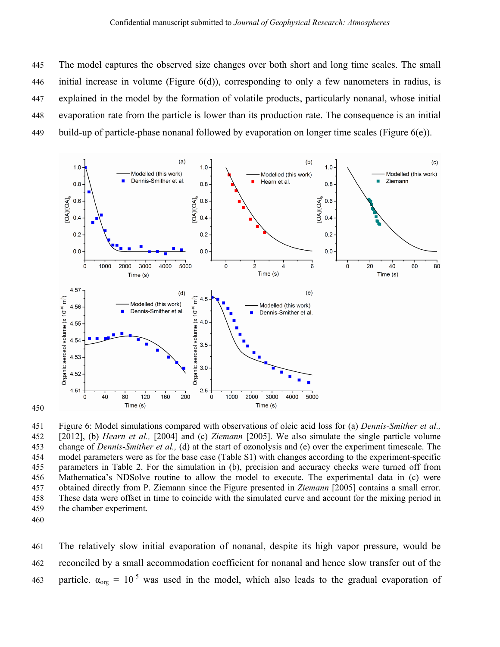445 The model captures the observed size changes over both short and long time scales. The small 446 initial increase in volume (Figure 6(d)), corresponding to only a few nanometers in radius, is 447 explained in the model by the formation of volatile products, particularly nonanal, whose initial 448 evaporation rate from the particle is lower than its production rate. The consequence is an initial 449 build-up of particle-phase nonanal followed by evaporation on longer time scales (Figure  $6(e)$ ).



451 Figure 6: Model simulations compared with observations of oleic acid loss for (a) *Dennis-Smither et al.,*  452 [2012], (b) *Hearn et al.,* [2004] and (c) *Ziemann* [2005]. We also simulate the single particle volume 453 change of *Dennis-Smither et al.,* (d) at the start of ozonolysis and (e) over the experiment timescale. The 454 model parameters were as for the base case (Table S1) with changes according to the experiment-specific 455 parameters in Table 2. For the simulation in (b), precision and accuracy checks were turned off from 456 Mathematica's NDSolve routine to allow the model to execute. The experimental data in (c) were 457 obtained directly from P. Ziemann since the Figure presented in *Ziemann* [2005] contains a small error. 458 These data were offset in time to coincide with the simulated curve and account for the mixing period in 459 the chamber experiment.

460

450

461 The relatively slow initial evaporation of nonanal, despite its high vapor pressure, would be 462 reconciled by a small accommodation coefficient for nonanal and hence slow transfer out of the 463 particle.  $\alpha_{org} = 10^{-5}$  was used in the model, which also leads to the gradual evaporation of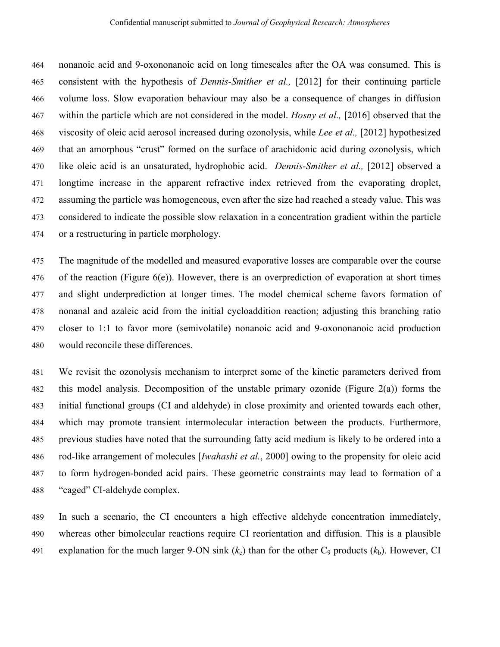464 nonanoic acid and 9-oxononanoic acid on long timescales after the OA was consumed. This is 465 consistent with the hypothesis of *Dennis-Smither et al.,* [2012] for their continuing particle 466 volume loss. Slow evaporation behaviour may also be a consequence of changes in diffusion 467 within the particle which are not considered in the model. *Hosny et al.,* [2016] observed that the 468 viscosity of oleic acid aerosol increased during ozonolysis, while *Lee et al.,* [2012] hypothesized 469 that an amorphous "crust" formed on the surface of arachidonic acid during ozonolysis, which 470 like oleic acid is an unsaturated, hydrophobic acid. *Dennis-Smither et al.,* [2012] observed a 471 longtime increase in the apparent refractive index retrieved from the evaporating droplet, 472 assuming the particle was homogeneous, even after the size had reached a steady value. This was 473 considered to indicate the possible slow relaxation in a concentration gradient within the particle 474 or a restructuring in particle morphology.

475 The magnitude of the modelled and measured evaporative losses are comparable over the course 476 of the reaction (Figure 6(e)). However, there is an overprediction of evaporation at short times 477 and slight underprediction at longer times. The model chemical scheme favors formation of 478 nonanal and azaleic acid from the initial cycloaddition reaction; adjusting this branching ratio 479 closer to 1:1 to favor more (semivolatile) nonanoic acid and 9-oxononanoic acid production 480 would reconcile these differences.

481 We revisit the ozonolysis mechanism to interpret some of the kinetic parameters derived from 482 this model analysis. Decomposition of the unstable primary ozonide (Figure 2(a)) forms the 483 initial functional groups (CI and aldehyde) in close proximity and oriented towards each other, 484 which may promote transient intermolecular interaction between the products. Furthermore, 485 previous studies have noted that the surrounding fatty acid medium is likely to be ordered into a 486 rod-like arrangement of molecules [*Iwahashi et al.*, 2000] owing to the propensity for oleic acid 487 to form hydrogen-bonded acid pairs. These geometric constraints may lead to formation of a 488 "caged" CI-aldehyde complex.

489 In such a scenario, the CI encounters a high effective aldehyde concentration immediately, 490 whereas other bimolecular reactions require CI reorientation and diffusion. This is a plausible 491 explanation for the much larger 9-ON sink  $(k_c)$  than for the other  $C_9$  products  $(k_b)$ . However, CI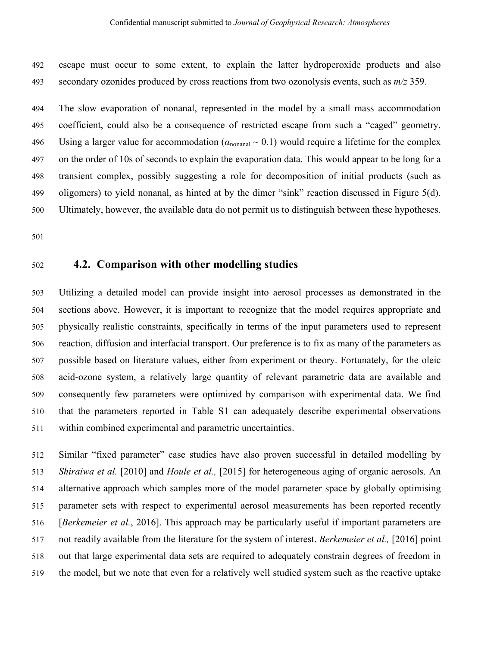492 escape must occur to some extent, to explain the latter hydroperoxide products and also 493 secondary ozonides produced by cross reactions from two ozonolysis events, such as *m/z* 359.

494 The slow evaporation of nonanal, represented in the model by a small mass accommodation 495 coefficient, could also be a consequence of restricted escape from such a "caged" geometry. 496 Using a larger value for accommodation ( $\alpha_{\text{nonanal}} \sim 0.1$ ) would require a lifetime for the complex 497 on the order of 10s of seconds to explain the evaporation data. This would appear to be long for a 498 transient complex, possibly suggesting a role for decomposition of initial products (such as 499 oligomers) to yield nonanal, as hinted at by the dimer "sink" reaction discussed in Figure 5(d). 500 Ultimately, however, the available data do not permit us to distinguish between these hypotheses.

501

#### 502 **4.2. Comparison with other modelling studies**

503 Utilizing a detailed model can provide insight into aerosol processes as demonstrated in the 504 sections above. However, it is important to recognize that the model requires appropriate and 505 physically realistic constraints, specifically in terms of the input parameters used to represent 506 reaction, diffusion and interfacial transport. Our preference is to fix as many of the parameters as 507 possible based on literature values, either from experiment or theory. Fortunately, for the oleic 508 acid-ozone system, a relatively large quantity of relevant parametric data are available and 509 consequently few parameters were optimized by comparison with experimental data. We find 510 that the parameters reported in Table S1 can adequately describe experimental observations 511 within combined experimental and parametric uncertainties.

512 Similar "fixed parameter" case studies have also proven successful in detailed modelling by 513 *Shiraiwa et al.* [2010] and *Houle et al.,* [2015] for heterogeneous aging of organic aerosols. An 514 alternative approach which samples more of the model parameter space by globally optimising 515 parameter sets with respect to experimental aerosol measurements has been reported recently 516 [*Berkemeier et al.*, 2016]. This approach may be particularly useful if important parameters are 517 not readily available from the literature for the system of interest. *Berkemeier et al.,* [2016] point 518 out that large experimental data sets are required to adequately constrain degrees of freedom in 519 the model, but we note that even for a relatively well studied system such as the reactive uptake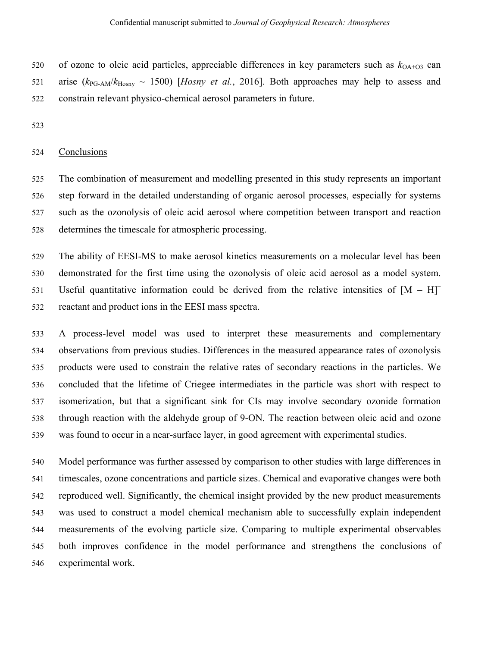520 of ozone to oleic acid particles, appreciable differences in key parameters such as  $k_{OA+O3}$  can 521 arise  $(k_{PG-AM}/k_{Hosnv} \sim 1500)$  [*Hosny et al.*, 2016]. Both approaches may help to assess and 522 constrain relevant physico-chemical aerosol parameters in future.

523

#### 524 Conclusions

525 The combination of measurement and modelling presented in this study represents an important 526 step forward in the detailed understanding of organic aerosol processes, especially for systems 527 such as the ozonolysis of oleic acid aerosol where competition between transport and reaction 528 determines the timescale for atmospheric processing.

529 The ability of EESI-MS to make aerosol kinetics measurements on a molecular level has been 530 demonstrated for the first time using the ozonolysis of oleic acid aerosol as a model system. 531 Useful quantitative information could be derived from the relative intensities of  $[M - H]$ <sup>-</sup> 532 reactant and product ions in the EESI mass spectra.

533 A process-level model was used to interpret these measurements and complementary 534 observations from previous studies. Differences in the measured appearance rates of ozonolysis 535 products were used to constrain the relative rates of secondary reactions in the particles. We 536 concluded that the lifetime of Criegee intermediates in the particle was short with respect to 537 isomerization, but that a significant sink for CIs may involve secondary ozonide formation 538 through reaction with the aldehyde group of 9-ON. The reaction between oleic acid and ozone 539 was found to occur in a near-surface layer, in good agreement with experimental studies.

540 Model performance was further assessed by comparison to other studies with large differences in 541 timescales, ozone concentrations and particle sizes. Chemical and evaporative changes were both 542 reproduced well. Significantly, the chemical insight provided by the new product measurements 543 was used to construct a model chemical mechanism able to successfully explain independent 544 measurements of the evolving particle size. Comparing to multiple experimental observables 545 both improves confidence in the model performance and strengthens the conclusions of 546 experimental work.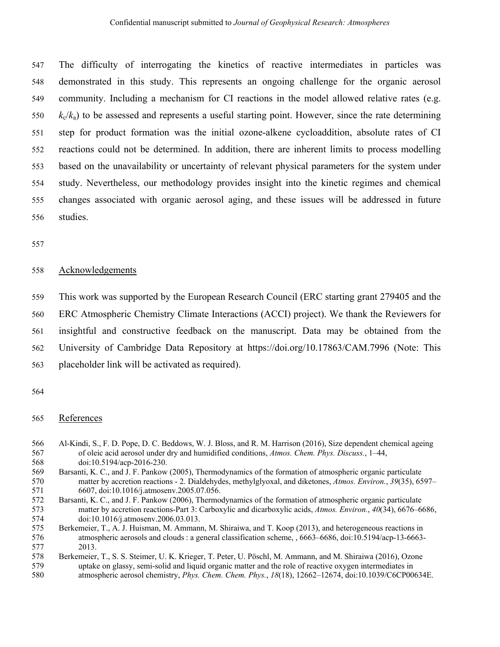547 The difficulty of interrogating the kinetics of reactive intermediates in particles was 548 demonstrated in this study. This represents an ongoing challenge for the organic aerosol 549 community. Including a mechanism for CI reactions in the model allowed relative rates (e.g.  $k_c/k_a$  to be assessed and represents a useful starting point. However, since the rate determining 551 step for product formation was the initial ozone-alkene cycloaddition, absolute rates of CI 552 reactions could not be determined. In addition, there are inherent limits to process modelling 553 based on the unavailability or uncertainty of relevant physical parameters for the system under 554 study. Nevertheless, our methodology provides insight into the kinetic regimes and chemical 555 changes associated with organic aerosol aging, and these issues will be addressed in future 556 studies.

557

#### 558 Acknowledgements

559 This work was supported by the European Research Council (ERC starting grant 279405 and the

560 ERC Atmospheric Chemistry Climate Interactions (ACCI) project). We thank the Reviewers for

561 insightful and constructive feedback on the manuscript. Data may be obtained from the

562 University of Cambridge Data Repository at https://doi.org/10.17863/CAM.7996 (Note: This

- 563 placeholder link will be activated as required).
- 564

#### 565 References

- 566 Al-Kindi, S., F. D. Pope, D. C. Beddows, W. J. Bloss, and R. M. Harrison (2016), Size dependent chemical ageing 567 of oleic acid aerosol under dry and humidified conditions, *Atmos. Chem. Phys. Discuss.*, 1–44, 568 doi:10.5194/acp-2016-230.
- 569 Barsanti, K. C., and J. F. Pankow (2005), Thermodynamics of the formation of atmospheric organic particulate 570 matter by accretion reactions - 2. Dialdehydes, methylglyoxal, and diketones, *Atmos. Environ.*, *39*(35), 6597– 571 6607, doi:10.1016/j.atmosenv.2005.07.056.
- 572 Barsanti, K. C., and J. F. Pankow (2006), Thermodynamics of the formation of atmospheric organic particulate 573 matter by accretion reactions-Part 3: Carboxylic and dicarboxylic acids, *Atmos. Environ.*, *40*(34), 6676–6686, 574 doi:10.1016/j.atmosenv.2006.03.013.
- 575 Berkemeier, T., A. J. Huisman, M. Ammann, M. Shiraiwa, and T. Koop (2013), and heterogeneous reactions in 576 atmospheric aerosols and clouds : a general classification scheme, , 6663–6686, doi:10.5194/acp-13-6663- 577 2013.

<sup>578</sup> Berkemeier, T., S. S. Steimer, U. K. Krieger, T. Peter, U. Pöschl, M. Ammann, and M. Shiraiwa (2016), Ozone 579 uptake on glassy, semi-solid and liquid organic matter and the role of reactive oxygen intermediates in 580 atmospheric aerosol chemistry, *Phys. Chem. Chem. Phys.*, *18*(18), 12662–12674, doi:10.1039/C6CP00634E.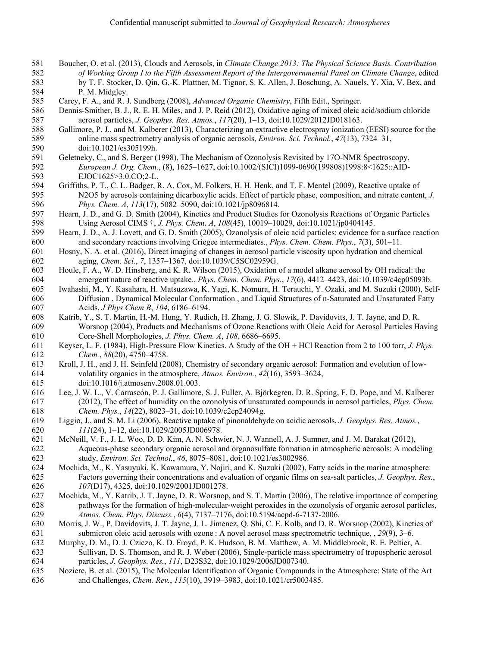- 581 Boucher, O. et al. (2013), Clouds and Aerosols, in *Climate Change 2013: The Physical Science Basis. Contribution*  582 *of Working Group I to the Fifth Assessment Report of the Intergovernmental Panel on Climate Change*, edited 583 by T. F. Stocker, D. Qin, G.-K. Plattner, M. Tignor, S. K. Allen, J. Boschung, A. Nauels, Y. Xia, V. Bex, and 584 P. M. Midgley.
- 585 Carey, F. A., and R. J. Sundberg (2008), *Advanced Organic Chemistry*, Fifth Edit., Springer.
- 586 Dennis-Smither, B. J., R. E. H. Miles, and J. P. Reid (2012), Oxidative aging of mixed oleic acid/sodium chloride 587 aerosol particles, *J. Geophys. Res. Atmos.*, *117*(20), 1–13, doi:10.1029/2012JD018163.
- 588 Gallimore, P. J., and M. Kalberer (2013), Characterizing an extractive electrospray ionization (EESI) source for the 589 online mass spectrometry analysis of organic aerosols, *Environ. Sci. Technol.*, *47*(13), 7324–31, 590 doi:10.1021/es305199h.
- 591 Geletneky, C., and S. Berger (1998), The Mechanism of Ozonolysis Revisited by 17O-NMR Spectroscopy, 592 *European J. Org. Chem.*, (8), 1625–1627, doi:10.1002/(SICI)1099-0690(199808)1998:8<1625::AID-593 EJOC1625>3.0.CO;2-L.
- 594 Griffiths, P. T., C. L. Badger, R. A. Cox, M. Folkers, H. H. Henk, and T. F. Mentel (2009), Reactive uptake of 595 N2O5 by aerosols containing dicarboxylic acids. Effect of particle phase, composition, and nitrate content, *J.*  596 *Phys. Chem. A*, *113*(17), 5082–5090, doi:10.1021/jp8096814.
- 597 Hearn, J. D., and G. D. Smith (2004), Kinetics and Product Studies for Ozonolysis Reactions of Organic Particles 598 Using Aerosol CIMS †, *J. Phys. Chem. A*, *108*(45), 10019–10029, doi:10.1021/jp0404145.
- 599 Hearn, J. D., A. J. Lovett, and G. D. Smith (2005), Ozonolysis of oleic acid particles: evidence for a surface reaction 600 and secondary reactions involving Criegee intermediates., *Phys. Chem. Chem. Phys.*, *7*(3), 501–11.
- 601 Hosny, N. A. et al. (2016), Direct imaging of changes in aerosol particle viscosity upon hydration and chemical 602 aging, *Chem. Sci.*, *7*, 1357–1367, doi:10.1039/C5SC02959G.
- 603 Houle, F. A., W. D. Hinsberg, and K. R. Wilson (2015), Oxidation of a model alkane aerosol by OH radical: the 604 emergent nature of reactive uptake., *Phys. Chem. Chem. Phys.*, *17*(6), 4412–4423, doi:10.1039/c4cp05093b.
- 605 Iwahashi, M., Y. Kasahara, H. Matsuzawa, K. Yagi, K. Nomura, H. Terauchi, Y. Ozaki, and M. Suzuki (2000), Self-606 Diffusion , Dynamical Molecular Conformation , and Liquid Structures of n-Saturated and Unsaturated Fatty 607 Acids, *J Phys Chem B*, *104*, 6186–6194.
- 608 Katrib, Y., S. T. Martin, H.-M. Hung, Y. Rudich, H. Zhang, J. G. Slowik, P. Davidovits, J. T. Jayne, and D. R. 609 Worsnop (2004), Products and Mechanisms of Ozone Reactions with Oleic Acid for Aerosol Particles Having 610 Core-Shell Morphologies, *J. Phys. Chem. A*, *108*, 6686–6695.
- 611 Keyser, L. F. (1984), High-Pressure Flow Kinetics. A Study of the OH + HCl Reaction from 2 to 100 torr, *J. Phys.*  612 *Chem.*, *88*(20), 4750–4758.
- 613 Kroll, J. H., and J. H. Seinfeld (2008), Chemistry of secondary organic aerosol: Formation and evolution of low-614 volatility organics in the atmosphere, *Atmos. Environ.*, *42*(16), 3593–3624, 615 doi:10.1016/j.atmosenv.2008.01.003.
- 616 Lee, J. W. L., V. Carrascón, P. J. Gallimore, S. J. Fuller, A. Björkegren, D. R. Spring, F. D. Pope, and M. Kalberer 617 (2012), The effect of humidity on the ozonolysis of unsaturated compounds in aerosol particles, *Phys. Chem.*  618 *Chem. Phys.*, *14*(22), 8023–31, doi:10.1039/c2cp24094g.
- 619 Liggio, J., and S. M. Li (2006), Reactive uptake of pinonaldehyde on acidic aerosols, *J. Geophys. Res. Atmos.*, 620 *111*(24), 1–12, doi:10.1029/2005JD006978.
- 621 McNeill, V. F., J. L. Woo, D. D. Kim, A. N. Schwier, N. J. Wannell, A. J. Sumner, and J. M. Barakat (2012), 622 Aqueous-phase secondary organic aerosol and organosulfate formation in atmospheric aerosols: A modeling 623 study, *Environ. Sci. Technol.*, *46*, 8075–8081, doi:10.1021/es3002986.
- 624 Mochida, M., K. Yasuyuki, K. Kawamura, Y. Nojiri, and K. Suzuki (2002), Fatty acids in the marine atmosphere: 625 Factors governing their concentrations and evaluation of organic films on sea-salt particles, *J. Geophys. Res.*, 626 *107*(D17), 4325, doi:10.1029/2001JD001278.
- 627 Mochida, M., Y. Katrib, J. T. Jayne, D. R. Worsnop, and S. T. Martin (2006), The relative importance of competing 628 pathways for the formation of high-molecular-weight peroxides in the ozonolysis of organic aerosol particles, 629 *Atmos. Chem. Phys. Discuss.*, *6*(4), 7137–7176, doi:10.5194/acpd-6-7137-2006.
- 630 Morris, J. W., P. Davidovits, J. T. Jayne, J. L. Jimenez, Q. Shi, C. E. Kolb, and D. R. Worsnop (2002), Kinetics of 631 submicron oleic acid aerosols with ozone : A novel aerosol mass spectrometric technique, , *29*(9), 3–6.
- 632 Murphy, D. M., D. J. Cziczo, K. D. Froyd, P. K. Hudson, B. M. Matthew, A. M. Middlebrook, R. E. Peltier, A.
- 633 Sullivan, D. S. Thomson, and R. J. Weber (2006), Single-particle mass spectrometry of tropospheric aerosol 634 particles, *J. Geophys. Res.*, *111*, D23S32, doi:10.1029/2006JD007340.
- 635 Noziere, B. et al. (2015), The Molecular Identification of Organic Compounds in the Atmosphere: State of the Art 636 and Challenges, *Chem. Rev.*, *115*(10), 3919–3983, doi:10.1021/cr5003485.